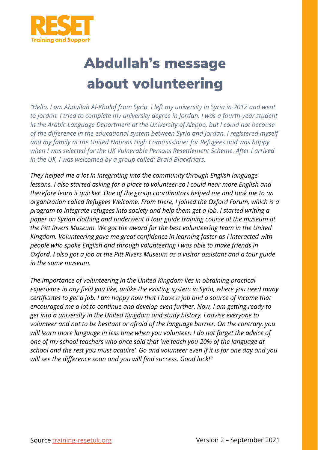

## Abdullah's message about volunteering

*"Hello, I am Abdullah Al-Khalaf from Syria. I left my university in Syria in 2012 and went to Jordan. I tried to complete my university degree in Jordan. I was a fourth-year student in the Arabic Language Department at the University of Aleppo, but I could not because of the difference in the educational system between Syria and Jordan. I registered myself and my family at the United Nations High Commissioner for Refugees and was happy when I was selected for the UK Vulnerable Persons Resettlement Scheme. After I arrived in the UK, I was welcomed by a group called: Braid Blackfriars.*

*They helped me a lot in integrating into the community through English language lessons. I also started asking for a place to volunteer so I could hear more English and therefore learn it quicker. One of the group coordinators helped me and took me to an organization called Refugees Welcome. From there, I joined the Oxford Forum, which is a program to integrate refugees into society and help them get a job. I started writing a paper on Syrian clothing and underwent a tour guide training course at the museum at the Pitt Rivers Museum. We got the award for the best volunteering team in the United Kingdom. Volunteering gave me great confidence in learning faster as I interacted with people who spoke English and through volunteering I was able to make friends in Oxford. I also got a job at the Pitt Rivers Museum as a visitor assistant and a tour guide in the same museum.* 

*The importance of volunteering in the United Kingdom lies in obtaining practical experience in any field you like, unlike the existing system in Syria, where you need many certificates to get a job. I am happy now that I have a job and a source of income that encouraged me a lot to continue and develop even further. Now, I am getting ready to get into a university in the United Kingdom and study history. I advise everyone to volunteer and not to be hesitant or afraid of the language barrier. On the contrary, you will learn more language in less time when you volunteer. I do not forget the advice of one of my school teachers who once said that 'we teach you 20% of the language at school and the rest you must acquire'. Go and volunteer even if it is for one day and you will see the difference soon and you will find success. Good luck!"*